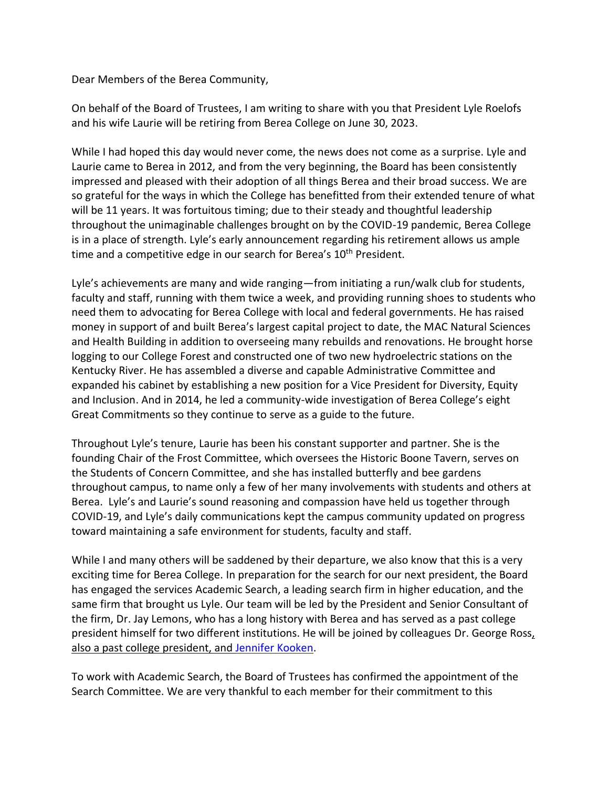Dear Members of the Berea Community,

On behalf of the Board of Trustees, I am writing to share with you that President Lyle Roelofs and his wife Laurie will be retiring from Berea College on June 30, 2023.

While I had hoped this day would never come, the news does not come as a surprise. Lyle and Laurie came to Berea in 2012, and from the very beginning, the Board has been consistently impressed and pleased with their adoption of all things Berea and their broad success. We are so grateful for the ways in which the College has benefitted from their extended tenure of what will be 11 years. It was fortuitous timing; due to their steady and thoughtful leadership throughout the unimaginable challenges brought on by the COVID-19 pandemic, Berea College is in a place of strength. Lyle's early announcement regarding his retirement allows us ample time and a competitive edge in our search for Berea's 10<sup>th</sup> President.

Lyle's achievements are many and wide ranging—from initiating a run/walk club for students, faculty and staff, running with them twice a week, and providing running shoes to students who need them to advocating for Berea College with local and federal governments. He has raised money in support of and built Berea's largest capital project to date, the MAC Natural Sciences and Health Building in addition to overseeing many rebuilds and renovations. He brought horse logging to our College Forest and constructed one of two new hydroelectric stations on the Kentucky River. He has assembled a diverse and capable Administrative Committee and expanded his cabinet by establishing a new position for a Vice President for Diversity, Equity and Inclusion. And in 2014, he led a community-wide investigation of Berea College's eight Great Commitments so they continue to serve as a guide to the future.

Throughout Lyle's tenure, Laurie has been his constant supporter and partner. She is the founding Chair of the Frost Committee, which oversees the Historic Boone Tavern, serves on the Students of Concern Committee, and she has installed butterfly and bee gardens throughout campus, to name only a few of her many involvements with students and others at Berea. Lyle's and Laurie's sound reasoning and compassion have held us together through COVID-19, and Lyle's daily communications kept the campus community updated on progress toward maintaining a safe environment for students, faculty and staff.

While I and many others will be saddened by their departure, we also know that this is a very exciting time for Berea College. In preparation for the search for our next president, the Board has engaged the services [Academic Search,](https://academicsearch.org/) a leading search firm in higher education, and the same firm that brought us Lyle. Our team will be led by the President and Senior Consultant of the firm, [Dr. Jay Lemons,](https://academicsearch.org/our-team/entry/765/) who has a long history with Berea and has served as a past college president himself for two different institutions. He will be joined by colleagues [Dr. George Ross,](https://academicsearch.org/our-team/entry/1883/) also a past college president, and [Jennifer Kooken.](https://academicsearch.org/our-team/entry/763/)

To work with Academic Search, the Board of Trustees has confirmed the appointment of the Search Committee. We are very thankful to each member for their commitment to this